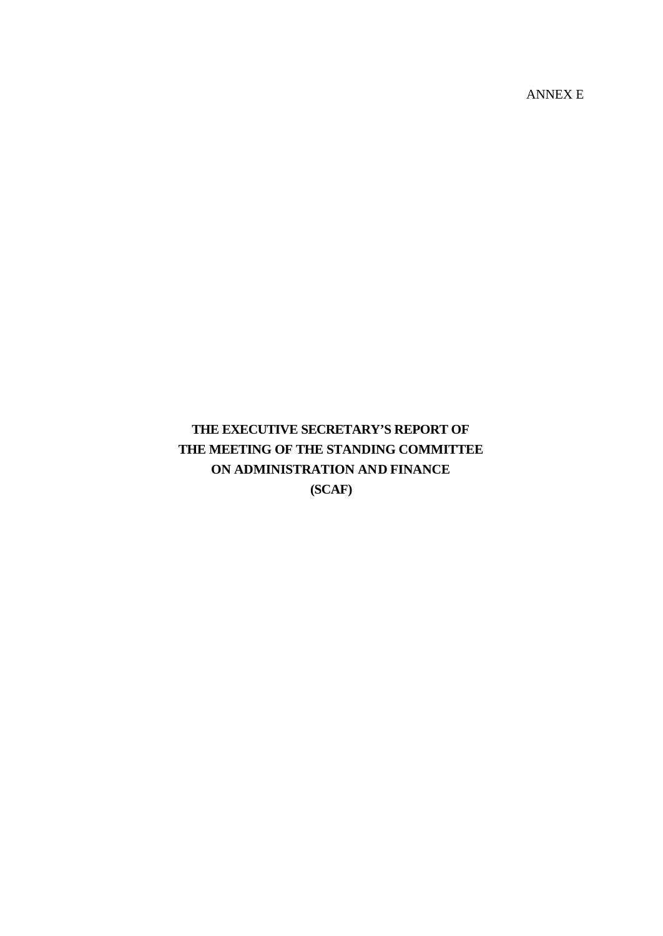ANNEX E

# **THE EXECUTIVE SECRETARY'S REPORT OF THE MEETING OF THE STANDING COMMITTEE ON ADMINISTRATION AND FINANCE (SCAF)**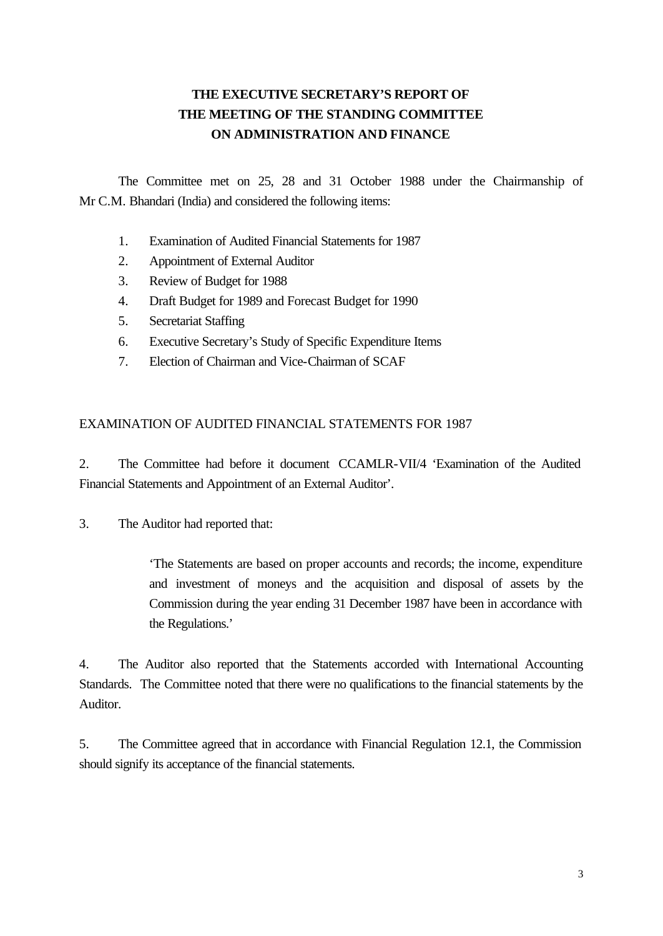## **THE EXECUTIVE SECRETARY'S REPORT OF THE MEETING OF THE STANDING COMMITTEE ON ADMINISTRATION AND FINANCE**

The Committee met on 25, 28 and 31 October 1988 under the Chairmanship of Mr C.M. Bhandari (India) and considered the following items:

- 1. Examination of Audited Financial Statements for 1987
- 2. Appointment of External Auditor
- 3. Review of Budget for 1988
- 4. Draft Budget for 1989 and Forecast Budget for 1990
- 5. Secretariat Staffing
- 6. Executive Secretary's Study of Specific Expenditure Items
- 7. Election of Chairman and Vice-Chairman of SCAF

## EXAMINATION OF AUDITED FINANCIAL STATEMENTS FOR 1987

2. The Committee had before it document CCAMLR-VII/4 'Examination of the Audited Financial Statements and Appointment of an External Auditor'.

3. The Auditor had reported that:

'The Statements are based on proper accounts and records; the income, expenditure and investment of moneys and the acquisition and disposal of assets by the Commission during the year ending 31 December 1987 have been in accordance with the Regulations.'

4. The Auditor also reported that the Statements accorded with International Accounting Standards. The Committee noted that there were no qualifications to the financial statements by the Auditor.

5. The Committee agreed that in accordance with Financial Regulation 12.1, the Commission should signify its acceptance of the financial statements.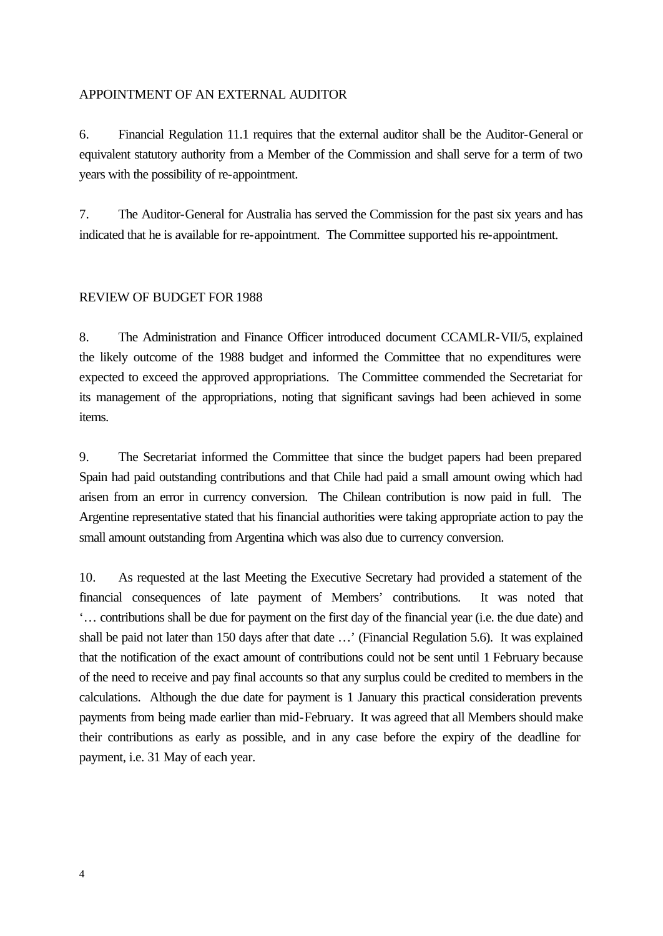## APPOINTMENT OF AN EXTERNAL AUDITOR

6. Financial Regulation 11.1 requires that the external auditor shall be the Auditor-General or equivalent statutory authority from a Member of the Commission and shall serve for a term of two years with the possibility of re-appointment.

7. The Auditor-General for Australia has served the Commission for the past six years and has indicated that he is available for re-appointment. The Committee supported his re-appointment.

#### REVIEW OF BUDGET FOR 1988

8. The Administration and Finance Officer introduced document CCAMLR-VII/5, explained the likely outcome of the 1988 budget and informed the Committee that no expenditures were expected to exceed the approved appropriations. The Committee commended the Secretariat for its management of the appropriations, noting that significant savings had been achieved in some items.

9. The Secretariat informed the Committee that since the budget papers had been prepared Spain had paid outstanding contributions and that Chile had paid a small amount owing which had arisen from an error in currency conversion. The Chilean contribution is now paid in full. The Argentine representative stated that his financial authorities were taking appropriate action to pay the small amount outstanding from Argentina which was also due to currency conversion.

10. As requested at the last Meeting the Executive Secretary had provided a statement of the financial consequences of late payment of Members' contributions. It was noted that '… contributions shall be due for payment on the first day of the financial year (i.e. the due date) and shall be paid not later than 150 days after that date …' (Financial Regulation 5.6). It was explained that the notification of the exact amount of contributions could not be sent until 1 February because of the need to receive and pay final accounts so that any surplus could be credited to members in the calculations. Although the due date for payment is 1 January this practical consideration prevents payments from being made earlier than mid-February. It was agreed that all Members should make their contributions as early as possible, and in any case before the expiry of the deadline for payment, i.e. 31 May of each year.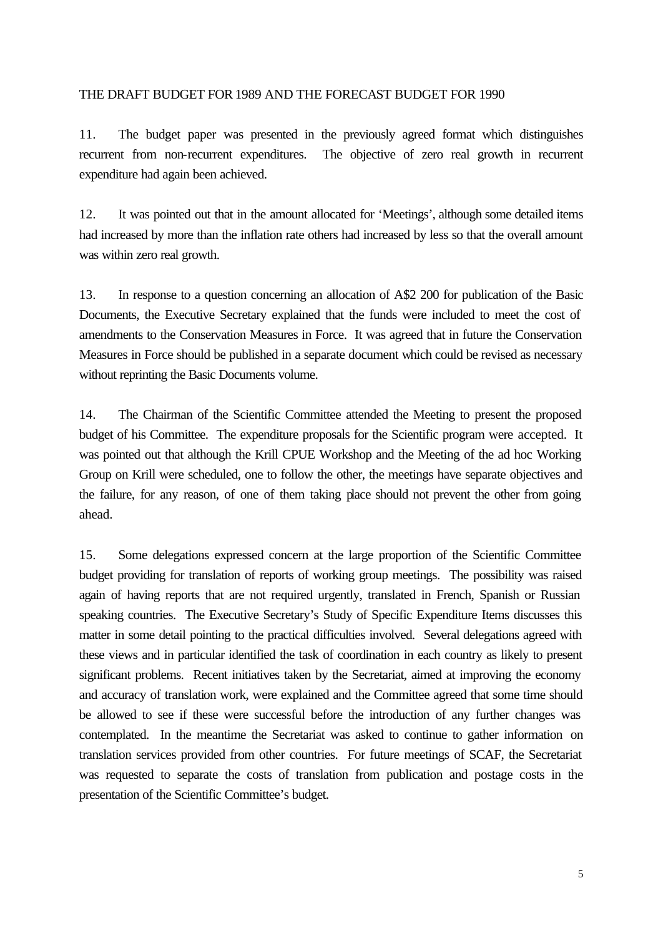## THE DRAFT BUDGET FOR 1989 AND THE FORECAST BUDGET FOR 1990

11. The budget paper was presented in the previously agreed format which distinguishes recurrent from non-recurrent expenditures. The objective of zero real growth in recurrent expenditure had again been achieved.

12. It was pointed out that in the amount allocated for 'Meetings', although some detailed items had increased by more than the inflation rate others had increased by less so that the overall amount was within zero real growth.

13. In response to a question concerning an allocation of A\$2 200 for publication of the Basic Documents, the Executive Secretary explained that the funds were included to meet the cost of amendments to the Conservation Measures in Force. It was agreed that in future the Conservation Measures in Force should be published in a separate document which could be revised as necessary without reprinting the Basic Documents volume.

14. The Chairman of the Scientific Committee attended the Meeting to present the proposed budget of his Committee. The expenditure proposals for the Scientific program were accepted. It was pointed out that although the Krill CPUE Workshop and the Meeting of the ad hoc Working Group on Krill were scheduled, one to follow the other, the meetings have separate objectives and the failure, for any reason, of one of them taking place should not prevent the other from going ahead.

15. Some delegations expressed concern at the large proportion of the Scientific Committee budget providing for translation of reports of working group meetings. The possibility was raised again of having reports that are not required urgently, translated in French, Spanish or Russian speaking countries. The Executive Secretary's Study of Specific Expenditure Items discusses this matter in some detail pointing to the practical difficulties involved. Several delegations agreed with these views and in particular identified the task of coordination in each country as likely to present significant problems. Recent initiatives taken by the Secretariat, aimed at improving the economy and accuracy of translation work, were explained and the Committee agreed that some time should be allowed to see if these were successful before the introduction of any further changes was contemplated. In the meantime the Secretariat was asked to continue to gather information on translation services provided from other countries. For future meetings of SCAF, the Secretariat was requested to separate the costs of translation from publication and postage costs in the presentation of the Scientific Committee's budget.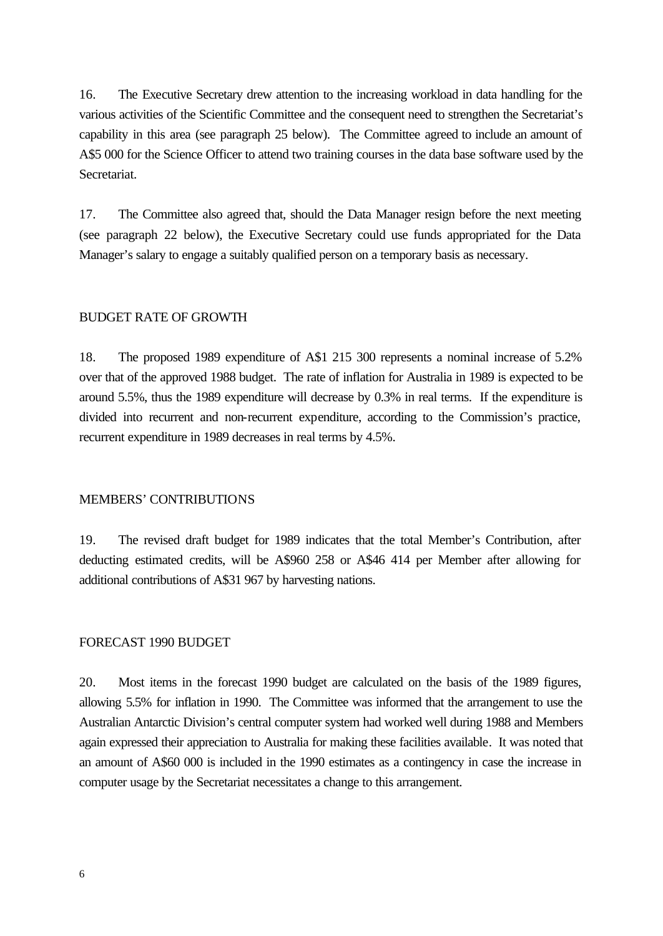16. The Executive Secretary drew attention to the increasing workload in data handling for the various activities of the Scientific Committee and the consequent need to strengthen the Secretariat's capability in this area (see paragraph 25 below). The Committee agreed to include an amount of A\$5 000 for the Science Officer to attend two training courses in the data base software used by the Secretariat.

17. The Committee also agreed that, should the Data Manager resign before the next meeting (see paragraph 22 below), the Executive Secretary could use funds appropriated for the Data Manager's salary to engage a suitably qualified person on a temporary basis as necessary.

#### BUDGET RATE OF GROWTH

18. The proposed 1989 expenditure of A\$1 215 300 represents a nominal increase of 5.2% over that of the approved 1988 budget. The rate of inflation for Australia in 1989 is expected to be around 5.5%, thus the 1989 expenditure will decrease by 0.3% in real terms. If the expenditure is divided into recurrent and non-recurrent expenditure, according to the Commission's practice, recurrent expenditure in 1989 decreases in real terms by 4.5%.

#### MEMBERS' CONTRIBUTIONS

19. The revised draft budget for 1989 indicates that the total Member's Contribution, after deducting estimated credits, will be A\$960 258 or A\$46 414 per Member after allowing for additional contributions of A\$31 967 by harvesting nations.

#### FORECAST 1990 BUDGET

20. Most items in the forecast 1990 budget are calculated on the basis of the 1989 figures, allowing 5.5% for inflation in 1990. The Committee was informed that the arrangement to use the Australian Antarctic Division's central computer system had worked well during 1988 and Members again expressed their appreciation to Australia for making these facilities available. It was noted that an amount of A\$60 000 is included in the 1990 estimates as a contingency in case the increase in computer usage by the Secretariat necessitates a change to this arrangement.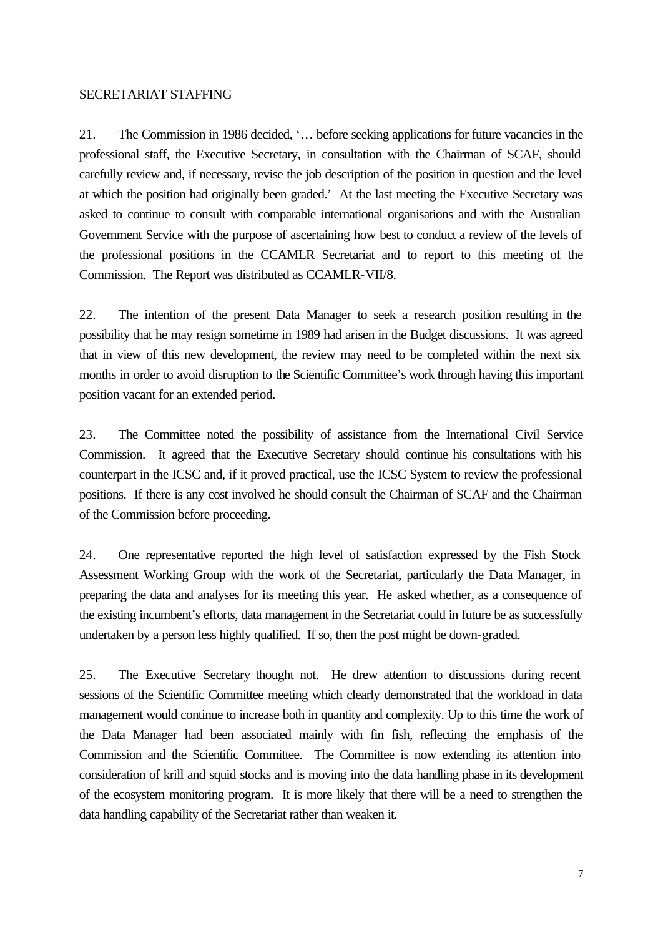#### SECRETARIAT STAFFING

21. The Commission in 1986 decided, '… before seeking applications for future vacancies in the professional staff, the Executive Secretary, in consultation with the Chairman of SCAF, should carefully review and, if necessary, revise the job description of the position in question and the level at which the position had originally been graded.' At the last meeting the Executive Secretary was asked to continue to consult with comparable international organisations and with the Australian Government Service with the purpose of ascertaining how best to conduct a review of the levels of the professional positions in the CCAMLR Secretariat and to report to this meeting of the Commission. The Report was distributed as CCAMLR-VII/8.

22. The intention of the present Data Manager to seek a research position resulting in the possibility that he may resign sometime in 1989 had arisen in the Budget discussions. It was agreed that in view of this new development, the review may need to be completed within the next six months in order to avoid disruption to the Scientific Committee's work through having this important position vacant for an extended period.

23. The Committee noted the possibility of assistance from the International Civil Service Commission. It agreed that the Executive Secretary should continue his consultations with his counterpart in the ICSC and, if it proved practical, use the ICSC System to review the professional positions. If there is any cost involved he should consult the Chairman of SCAF and the Chairman of the Commission before proceeding.

24. One representative reported the high level of satisfaction expressed by the Fish Stock Assessment Working Group with the work of the Secretariat, particularly the Data Manager, in preparing the data and analyses for its meeting this year. He asked whether, as a consequence of the existing incumbent's efforts, data management in the Secretariat could in future be as successfully undertaken by a person less highly qualified. If so, then the post might be down-graded.

25. The Executive Secretary thought not. He drew attention to discussions during recent sessions of the Scientific Committee meeting which clearly demonstrated that the workload in data management would continue to increase both in quantity and complexity. Up to this time the work of the Data Manager had been associated mainly with fin fish, reflecting the emphasis of the Commission and the Scientific Committee. The Committee is now extending its attention into consideration of krill and squid stocks and is moving into the data handling phase in its development of the ecosystem monitoring program. It is more likely that there will be a need to strengthen the data handling capability of the Secretariat rather than weaken it.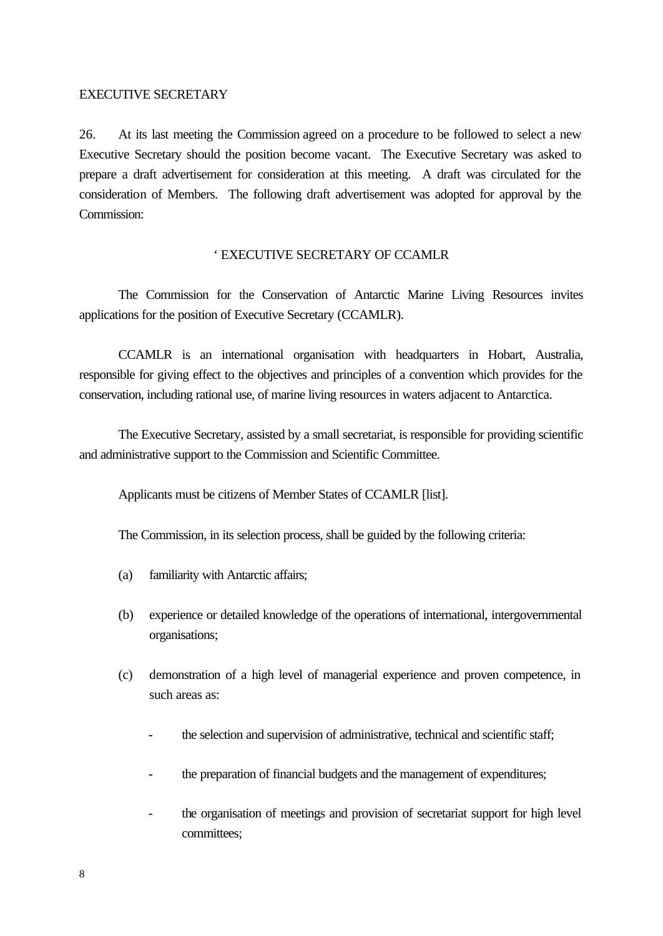## EXECUTIVE SECRETARY

26. At its last meeting the Commission agreed on a procedure to be followed to select a new Executive Secretary should the position become vacant. The Executive Secretary was asked to prepare a draft advertisement for consideration at this meeting. A draft was circulated for the consideration of Members. The following draft advertisement was adopted for approval by the Commission:

## ' EXECUTIVE SECRETARY OF CCAMLR

The Commission for the Conservation of Antarctic Marine Living Resources invites applications for the position of Executive Secretary (CCAMLR).

CCAMLR is an international organisation with headquarters in Hobart, Australia, responsible for giving effect to the objectives and principles of a convention which provides for the conservation, including rational use, of marine living resources in waters adjacent to Antarctica.

The Executive Secretary, assisted by a small secretariat, is responsible for providing scientific and administrative support to the Commission and Scientific Committee.

Applicants must be citizens of Member States of CCAMLR [list].

The Commission, in its selection process, shall be guided by the following criteria:

- (a) familiarity with Antarctic affairs;
- (b) experience or detailed knowledge of the operations of international, intergovernmental organisations;
- (c) demonstration of a high level of managerial experience and proven competence, in such areas as:
	- the selection and supervision of administrative, technical and scientific staff;
	- the preparation of financial budgets and the management of expenditures;
	- the organisation of meetings and provision of secretariat support for high level committees;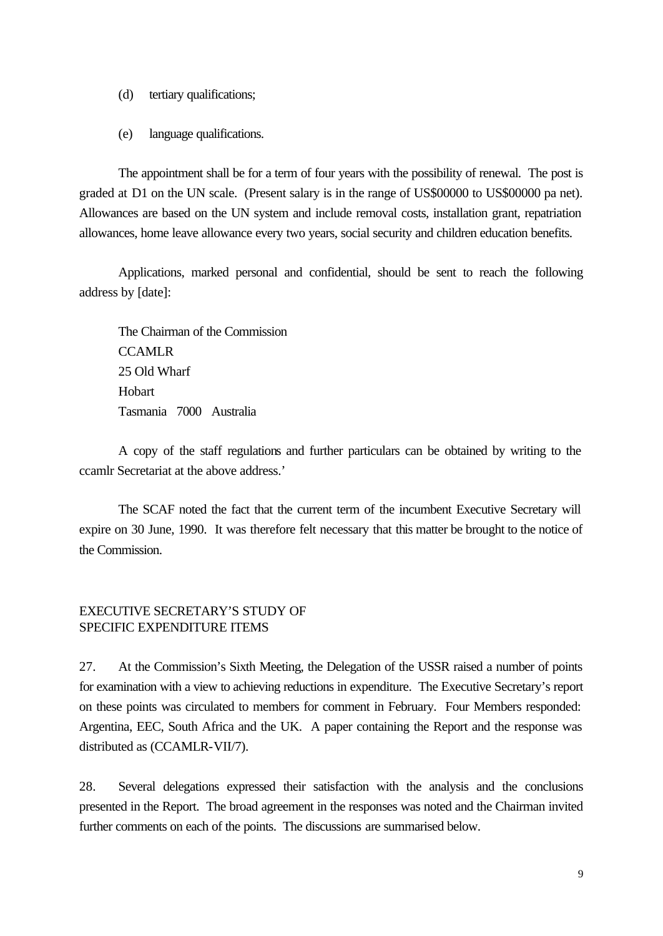- (d) tertiary qualifications;
- (e) language qualifications.

The appointment shall be for a term of four years with the possibility of renewal. The post is graded at D1 on the UN scale. (Present salary is in the range of US\$00000 to US\$00000 pa net). Allowances are based on the UN system and include removal costs, installation grant, repatriation allowances, home leave allowance every two years, social security and children education benefits.

Applications, marked personal and confidential, should be sent to reach the following address by [date]:

The Chairman of the Commission **CCAMLR** 25 Old Wharf Hobart Tasmania 7000 Australia

A copy of the staff regulations and further particulars can be obtained by writing to the ccamlr Secretariat at the above address.'

The SCAF noted the fact that the current term of the incumbent Executive Secretary will expire on 30 June, 1990. It was therefore felt necessary that this matter be brought to the notice of the Commission.

## EXECUTIVE SECRETARY'S STUDY OF SPECIFIC EXPENDITURE ITEMS

27. At the Commission's Sixth Meeting, the Delegation of the USSR raised a number of points for examination with a view to achieving reductions in expenditure. The Executive Secretary's report on these points was circulated to members for comment in February. Four Members responded: Argentina, EEC, South Africa and the UK. A paper containing the Report and the response was distributed as (CCAMLR-VII/7).

28. Several delegations expressed their satisfaction with the analysis and the conclusions presented in the Report. The broad agreement in the responses was noted and the Chairman invited further comments on each of the points. The discussions are summarised below.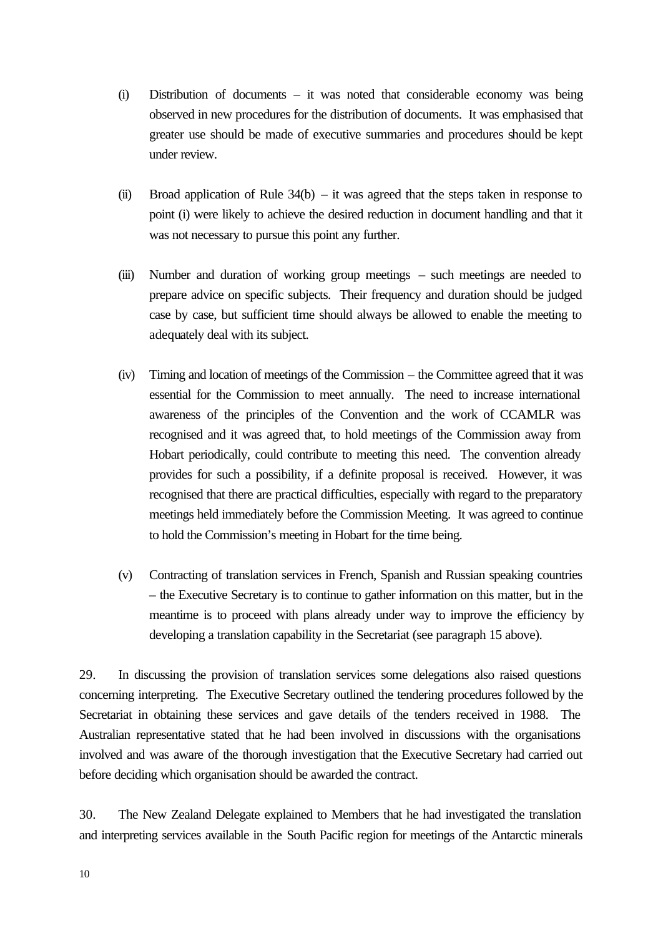- (i) Distribution of documents it was noted that considerable economy was being observed in new procedures for the distribution of documents. It was emphasised that greater use should be made of executive summaries and procedures should be kept under review.
- (ii) Broad application of Rule  $34(b) it$  was agreed that the steps taken in response to point (i) were likely to achieve the desired reduction in document handling and that it was not necessary to pursue this point any further.
- (iii) Number and duration of working group meetings such meetings are needed to prepare advice on specific subjects. Their frequency and duration should be judged case by case, but sufficient time should always be allowed to enable the meeting to adequately deal with its subject.
- (iv) Timing and location of meetings of the Commission the Committee agreed that it was essential for the Commission to meet annually. The need to increase international awareness of the principles of the Convention and the work of CCAMLR was recognised and it was agreed that, to hold meetings of the Commission away from Hobart periodically, could contribute to meeting this need. The convention already provides for such a possibility, if a definite proposal is received. However, it was recognised that there are practical difficulties, especially with regard to the preparatory meetings held immediately before the Commission Meeting. It was agreed to continue to hold the Commission's meeting in Hobart for the time being.
- (v) Contracting of translation services in French, Spanish and Russian speaking countries – the Executive Secretary is to continue to gather information on this matter, but in the meantime is to proceed with plans already under way to improve the efficiency by developing a translation capability in the Secretariat (see paragraph 15 above).

29. In discussing the provision of translation services some delegations also raised questions concerning interpreting. The Executive Secretary outlined the tendering procedures followed by the Secretariat in obtaining these services and gave details of the tenders received in 1988. The Australian representative stated that he had been involved in discussions with the organisations involved and was aware of the thorough investigation that the Executive Secretary had carried out before deciding which organisation should be awarded the contract.

30. The New Zealand Delegate explained to Members that he had investigated the translation and interpreting services available in the South Pacific region for meetings of the Antarctic minerals